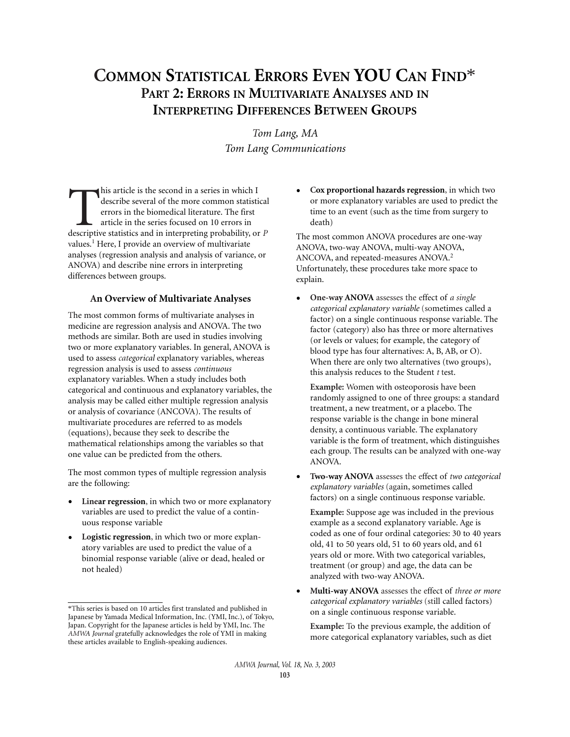# **COMMON STATISTICAL ERRORS EVEN YOU CAN FIND**\* **PART 2: ERRORS IN MULTIVARIATE ANALYSES AND IN INTERPRETING DIFFERENCES BETWEEN GROUPS**

*Tom Lang, MA Tom Lang Communications*

his article is the second in a series in which I describe several of the more common statistient errors in the biomedical literature. The first article in the series focused on 10 errors in descriptive statistics and in in describe several of the more common statistical errors in the biomedical literature. The first article in the series focused on 10 errors in descriptive statistics and in interpreting probability, or *P* values.<sup>1</sup> Here, I provide an overview of multivariate analyses (regression analysis and analysis of variance, or ANOVA) and describe nine errors in interpreting differences between groups.

#### **An Overview of Multivariate Analyses**

The most common forms of multivariate analyses in medicine are regression analysis and ANOVA. The two methods are similar. Both are used in studies involving two or more explanatory variables. In general, ANOVA is used to assess *categorical* explanatory variables, whereas regression analysis is used to assess *continuous* explanatory variables. When a study includes both categorical and continuous and explanatory variables, the analysis may be called either multiple regression analysis or analysis of covariance (ANCOVA). The results of multivariate procedures are referred to as models (equations), because they seek to describe the mathematical relationships among the variables so that one value can be predicted from the others.

The most common types of multiple regression analysis are the following:

- Linear regression, in which two or more explanatory variables are used to predict the value of a continuous response variable
- **Logistic regression**, in which two or more explanatory variables are used to predict the value of a binomial response variable (alive or dead, healed or not healed)

• **Cox proportional hazards regression**, in which two or more explanatory variables are used to predict the time to an event (such as the time from surgery to death)

The most common ANOVA procedures are one-way ANOVA, two-way ANOVA, multi-way ANOVA, ANCOVA, and repeated-measures ANOVA.<sup>2</sup> Unfortunately, these procedures take more space to explain.

• **One-way ANOVA** assesses the effect of *a single categorical explanatory variable* (sometimes called a factor) on a single continuous response variable. The factor (category) also has three or more alternatives (or levels or values; for example, the category of blood type has four alternatives: A, B, AB, or O). When there are only two alternatives (two groups), this analysis reduces to the Student *t* test.

**Example:** Women with osteoporosis have been randomly assigned to one of three groups: a standard treatment, a new treatment, or a placebo. The response variable is the change in bone mineral density, a continuous variable. The explanatory variable is the form of treatment, which distinguishes each group. The results can be analyzed with one-way ANOVA.

• **Two-way ANOVA** assesses the effect of *two categorical explanatory variables* (again, sometimes called factors) on a single continuous response variable.

**Example:** Suppose age was included in the previous example as a second explanatory variable. Age is coded as one of four ordinal categories: 30 to 40 years old, 41 to 50 years old, 51 to 60 years old, and 61 years old or more. With two categorical variables, treatment (or group) and age, the data can be analyzed with two-way ANOVA.

• **Multi-way ANOVA** assesses the effect of *three or more categorical explanatory variables* (still called factors) on a single continuous response variable.

**Example:** To the previous example, the addition of more categorical explanatory variables, such as diet

<sup>\*</sup>This series is based on 10 articles first translated and published in Japanese by Yamada Medical Information, Inc. (YMI, Inc.), of Tokyo, Japan. Copyright for the Japanese articles is held by YMI, Inc. The *AMWA Journal* gratefully acknowledges the role of YMI in making these articles available to English-speaking audiences.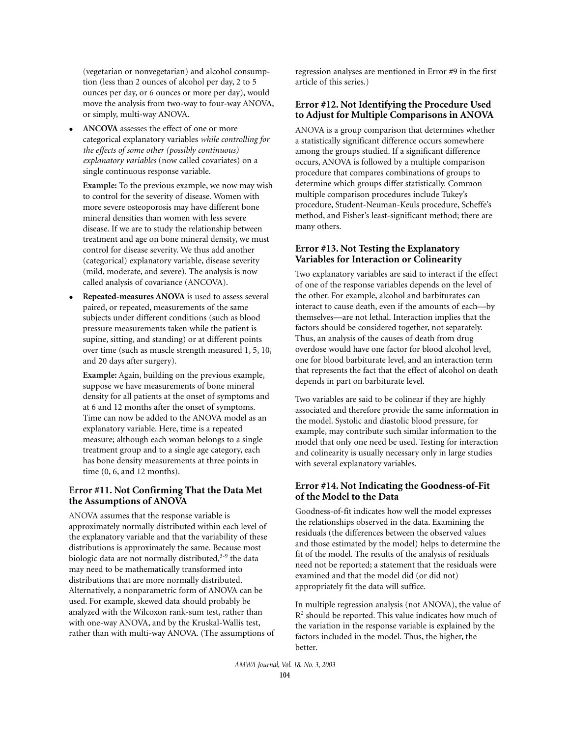(vegetarian or nonvegetarian) and alcohol consumption (less than 2 ounces of alcohol per day, 2 to 5 ounces per day, or 6 ounces or more per day), would move the analysis from two-way to four-way ANOVA, or simply, multi-way ANOVA.

• **ANCOVA** assesses the effect of one or more categorical explanatory variables *while controlling for the effects of some other (possibly continuous) explanatory variables* (now called covariates) on a single continuous response variable.

**Example:** To the previous example, we now may wish to control for the severity of disease. Women with more severe osteoporosis may have different bone mineral densities than women with less severe disease. If we are to study the relationship between treatment and age on bone mineral density, we must control for disease severity. We thus add another (categorical) explanatory variable, disease severity (mild, moderate, and severe). The analysis is now called analysis of covariance (ANCOVA).

• **Repeated-measures ANOVA** is used to assess several paired, or repeated, measurements of the same subjects under different conditions (such as blood pressure measurements taken while the patient is supine, sitting, and standing) or at different points over time (such as muscle strength measured 1, 5, 10, and 20 days after surgery).

**Example:** Again, building on the previous example, suppose we have measurements of bone mineral density for all patients at the onset of symptoms and at 6 and 12 months after the onset of symptoms. Time can now be added to the ANOVA model as an explanatory variable. Here, time is a repeated measure; although each woman belongs to a single treatment group and to a single age category, each has bone density measurements at three points in time (0, 6, and 12 months).

#### **Error #11. Not Confirming That the Data Met the Assumptions of ANOVA**

ANOVA assumes that the response variable is approximately normally distributed within each level of the explanatory variable and that the variability of these distributions is approximately the same. Because most biologic data are not normally distributed, $3-9$  the data may need to be mathematically transformed into distributions that are more normally distributed. Alternatively, a nonparametric form of ANOVA can be used. For example, skewed data should probably be analyzed with the Wilcoxon rank-sum test, rather than with one-way ANOVA, and by the Kruskal-Wallis test, rather than with multi-way ANOVA. (The assumptions of

regression analyses are mentioned in Error #9 in the first article of this series.)

# **Error #12. Not Identifying the Procedure Used to Adjust for Multiple Comparisons in ANOVA**

ANOVA is a group comparison that determines whether a statistically significant difference occurs somewhere among the groups studied. If a significant difference occurs, ANOVA is followed by a multiple comparison procedure that compares combinations of groups to determine which groups differ statistically. Common multiple comparison procedures include Tukey's procedure, Student-Neuman-Keuls procedure, Scheffe's method, and Fisher's least-significant method; there are many others.

# **Error #13. Not Testing the Explanatory Variables for Interaction or Colinearity**

Two explanatory variables are said to interact if the effect of one of the response variables depends on the level of the other. For example, alcohol and barbiturates can interact to cause death, even if the amounts of each—by themselves—are not lethal. Interaction implies that the factors should be considered together, not separately. Thus, an analysis of the causes of death from drug overdose would have one factor for blood alcohol level, one for blood barbiturate level, and an interaction term that represents the fact that the effect of alcohol on death depends in part on barbiturate level.

Two variables are said to be colinear if they are highly associated and therefore provide the same information in the model. Systolic and diastolic blood pressure, for example, may contribute such similar information to the model that only one need be used. Testing for interaction and colinearity is usually necessary only in large studies with several explanatory variables.

## **Error #14. Not Indicating the Goodness-of-Fit of the Model to the Data**

Goodness-of-fit indicates how well the model expresses the relationships observed in the data. Examining the residuals (the differences between the observed values and those estimated by the model) helps to determine the fit of the model. The results of the analysis of residuals need not be reported; a statement that the residuals were examined and that the model did (or did not) appropriately fit the data will suffice.

In multiple regression analysis (not ANOVA), the value of  $R<sup>2</sup>$  should be reported. This value indicates how much of the variation in the response variable is explained by the factors included in the model. Thus, the higher, the better.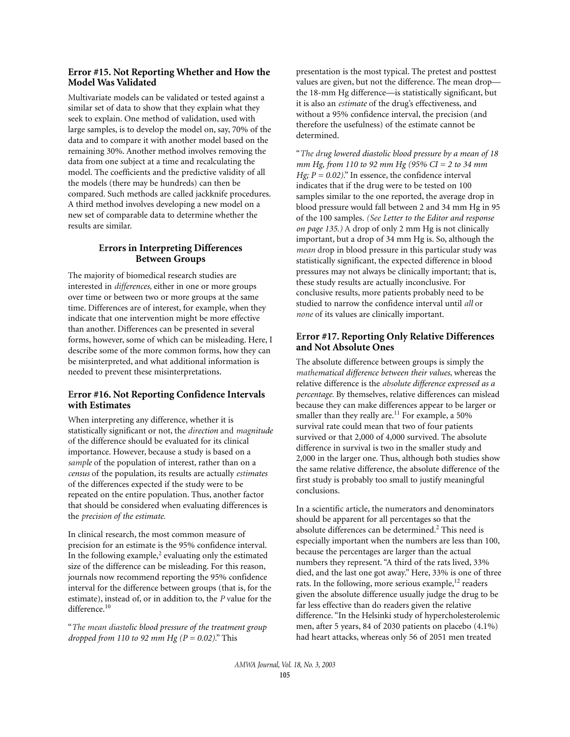## **Error #15. Not Reporting Whether and How the Model Was Validated**

Multivariate models can be validated or tested against a similar set of data to show that they explain what they seek to explain. One method of validation, used with large samples, is to develop the model on, say, 70% of the data and to compare it with another model based on the remaining 30%. Another method involves removing the data from one subject at a time and recalculating the model. The coefficients and the predictive validity of all the models (there may be hundreds) can then be compared. Such methods are called jackknife procedures. A third method involves developing a new model on a new set of comparable data to determine whether the results are similar.

## **Errors in Interpreting Differences Between Groups**

The majority of biomedical research studies are interested in *differences*, either in one or more groups over time or between two or more groups at the same time. Differences are of interest, for example, when they indicate that one intervention might be more effective than another. Differences can be presented in several forms, however, some of which can be misleading. Here, I describe some of the more common forms, how they can be misinterpreted, and what additional information is needed to prevent these misinterpretations.

# **Error #16. Not Reporting Confidence Intervals with Estimates**

When interpreting any difference, whether it is statistically significant or not, the *direction* and *magnitude* of the difference should be evaluated for its clinical importance. However, because a study is based on a *sample* of the population of interest, rather than on a *census* of the population, its results are actually *estimates* of the differences expected if the study were to be repeated on the entire population. Thus, another factor that should be considered when evaluating differences is the *precision of the estimate*.

In clinical research, the most common measure of precision for an estimate is the 95% confidence interval. In the following example, $<sup>2</sup>$  evaluating only the estimated</sup> size of the difference can be misleading. For this reason, journals now recommend reporting the 95% confidence interval for the difference between groups (that is, for the estimate), instead of, or in addition to, the *P* value for the difference.<sup>10</sup>

"*The mean diastolic blood pressure of the treatment group dropped from 110 to 92 mm Hg (P = 0.02)*." This

presentation is the most typical. The pretest and posttest values are given, but not the difference. The mean drop the 18-mm Hg difference—is statistically significant, but it is also an *estimate* of the drug's effectiveness, and without a 95% confidence interval, the precision (and therefore the usefulness) of the estimate cannot be determined.

"*The drug lowered diastolic blood pressure by a mean of 18 mm Hg, from 110 to 92 mm Hg (95% CI = 2 to 34 mm Hg*;  $P = 0.02$ )." In essence, the confidence interval indicates that if the drug were to be tested on 100 samples similar to the one reported, the average drop in blood pressure would fall between 2 and 34 mm Hg in 95 of the 100 samples. *(See Letter to the Editor and response on page 135.)* A drop of only 2 mm Hg is not clinically important, but a drop of 34 mm Hg is. So, although the *mean* drop in blood pressure in this particular study was statistically significant, the expected difference in blood pressures may not always be clinically important; that is, these study results are actually inconclusive. For conclusive results, more patients probably need to be studied to narrow the confidence interval until *all* or *none* of its values are clinically important.

#### **Error #17. Reporting Only Relative Differences and Not Absolute Ones**

The absolute difference between groups is simply the *mathematical difference between their values*, whereas the relative difference is the *absolute difference expressed as a percentage*. By themselves, relative differences can mislead because they can make differences appear to be larger or smaller than they really are.<sup>11</sup> For example, a 50% survival rate could mean that two of four patients survived or that 2,000 of 4,000 survived. The absolute difference in survival is two in the smaller study and 2,000 in the larger one. Thus, although both studies show the same relative difference, the absolute difference of the first study is probably too small to justify meaningful conclusions.

In a scientific article, the numerators and denominators should be apparent for all percentages so that the absolute differences can be determined.<sup>2</sup> This need is especially important when the numbers are less than 100, because the percentages are larger than the actual numbers they represent. "A third of the rats lived, 33% died, and the last one got away." Here, 33% is one of three rats. In the following, more serious example, $12$  readers given the absolute difference usually judge the drug to be far less effective than do readers given the relative difference. "In the Helsinki study of hypercholesterolemic men, after 5 years, 84 of 2030 patients on placebo (4.1%) had heart attacks, whereas only 56 of 2051 men treated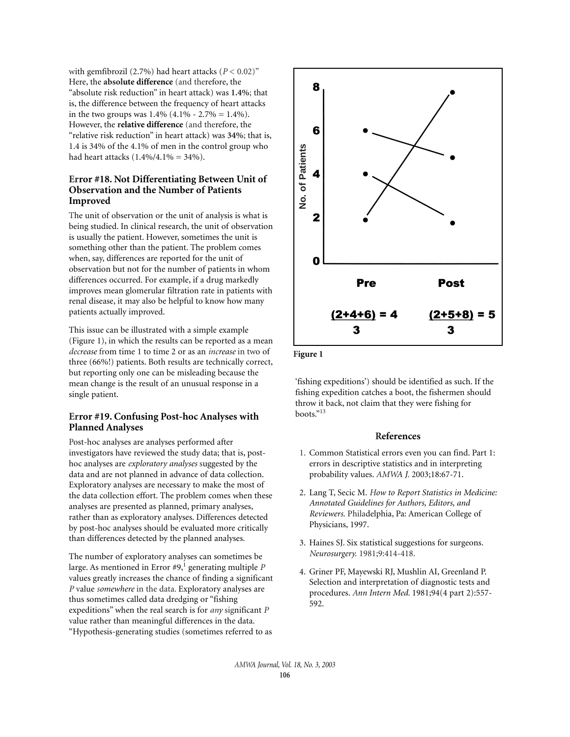with gemfibrozil  $(2.7\%)$  had heart attacks  $(P < 0.02)$ " Here, the **absolute difference** (and therefore, the "absolute risk reduction" in heart attack) was **1.4%**; that is, the difference between the frequency of heart attacks in the two groups was  $1.4\%$  (4.1% - 2.7% = 1.4%). However, the **relative difference** (and therefore, the "relative risk reduction" in heart attack) was **34%**; that is, 1.4 is 34% of the 4.1% of men in the control group who had heart attacks  $(1.4\%/4.1\%) = 34\%).$ 

#### **Error #18. Not Differentiating Between Unit of Observation and the Number of Patients Improved**

The unit of observation or the unit of analysis is what is being studied. In clinical research, the unit of observation is usually the patient. However, sometimes the unit is something other than the patient. The problem comes when, say, differences are reported for the unit of observation but not for the number of patients in whom differences occurred. For example, if a drug markedly improves mean glomerular filtration rate in patients with renal disease, it may also be helpful to know how many patients actually improved.

This issue can be illustrated with a simple example (Figure 1), in which the results can be reported as a mean *decrease* from time 1 to time 2 or as an *increase* in two of three (66%!) patients. Both results are technically correct, but reporting only one can be misleading because the mean change is the result of an unusual response in a single patient.

#### **Error #19. Confusing Post-hoc Analyses with Planned Analyses**

Post-hoc analyses are analyses performed after investigators have reviewed the study data; that is, posthoc analyses are *exploratory analyses* suggested by the data and are not planned in advance of data collection. Exploratory analyses are necessary to make the most of the data collection effort. The problem comes when these analyses are presented as planned, primary analyses, rather than as exploratory analyses. Differences detected by post-hoc analyses should be evaluated more critically than differences detected by the planned analyses.

The number of exploratory analyses can sometimes be large. As mentioned in Error #9,<sup>1</sup> generating multiple *P* values greatly increases the chance of finding a significant *P* value *somewhere* in the data. Exploratory analyses are thus sometimes called data dredging or "fishing expeditions" when the real search is for *any* significant *P* value rather than meaningful differences in the data. "Hypothesis-generating studies (sometimes referred to as



Figure 1

'fishing expeditions') should be identified as such. If the fishing expedition catches a boot, the fishermen should throw it back, not claim that they were fishing for boots."13

#### **References**

- 1. Common Statistical errors even you can find. Part 1: errors in descriptive statistics and in interpreting probability values. *AMWA J*. 2003;18:67-71.
- 2. Lang T, Secic M. *How to Report Statistics in Medicine: Annotated Guidelines for Authors, Editors, and Reviewers.* Philadelphia, Pa: American College of Physicians, 1997.
- 3. Haines SJ. Six statistical suggestions for surgeons. *Neurosurgery.* 1981;9:414-418.
- 4. Griner PF, Mayewski RJ, Mushlin AI, Greenland P. Selection and interpretation of diagnostic tests and procedures. *Ann Intern Med*. 1981;94(4 part 2):557- 592.